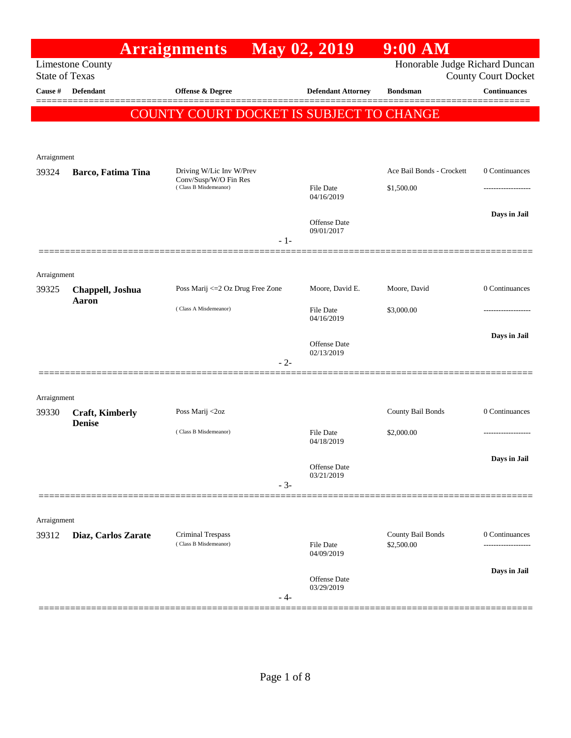|                       |                           | <b>Arraignments</b>                                                        |       | <b>May 02, 2019</b>               | $9:00$ AM                               |                            |
|-----------------------|---------------------------|----------------------------------------------------------------------------|-------|-----------------------------------|-----------------------------------------|----------------------------|
| <b>State of Texas</b> | <b>Limestone County</b>   |                                                                            |       |                                   | Honorable Judge Richard Duncan          | <b>County Court Docket</b> |
| Cause #               | <b>Defendant</b>          | <b>Offense &amp; Degree</b>                                                |       | <b>Defendant Attorney</b>         | <b>Bondsman</b>                         | Continuances               |
|                       |                           | COUNTY COURT DOCKET IS SUBJECT TO CHANGE                                   |       |                                   |                                         |                            |
| Arraignment           |                           |                                                                            |       |                                   |                                         |                            |
| 39324                 | Barco, Fatima Tina        | Driving W/Lic Inv W/Prev<br>Conv/Susp/W/O Fin Res<br>(Class B Misdemeanor) |       | <b>File Date</b><br>04/16/2019    | Ace Bail Bonds - Crockett<br>\$1,500.00 | 0 Continuances             |
|                       |                           |                                                                            | $-1-$ | <b>Offense Date</b><br>09/01/2017 |                                         | Days in Jail               |
| Arraignment           |                           |                                                                            |       |                                   |                                         |                            |
| 39325                 | Chappell, Joshua<br>Aaron | Poss Marij <= 2 Oz Drug Free Zone                                          |       | Moore, David E.                   | Moore, David                            | 0 Continuances             |
|                       |                           | (Class A Misdemeanor)                                                      |       | <b>File Date</b><br>04/16/2019    | \$3,000.00                              |                            |
|                       |                           |                                                                            | $-2-$ | Offense Date<br>02/13/2019        |                                         | Days in Jail               |
| Arraignment           |                           |                                                                            |       |                                   |                                         |                            |
| 39330                 | <b>Craft, Kimberly</b>    | Poss Marij <2oz                                                            |       |                                   | County Bail Bonds                       | 0 Continuances             |
|                       | <b>Denise</b>             | (Class B Misdemeanor)                                                      |       | <b>File Date</b><br>04/18/2019    | \$2,000.00                              |                            |
|                       |                           |                                                                            | $-3-$ | Offense Date<br>03/21/2019        |                                         | Days in Jail               |
|                       |                           |                                                                            |       |                                   |                                         |                            |
| Arraignment           |                           |                                                                            |       |                                   |                                         |                            |
| 39312                 | Diaz, Carlos Zarate       | Criminal Trespass<br>(Class B Misdemeanor)                                 |       | File Date<br>04/09/2019           | County Bail Bonds<br>\$2,500.00         | 0 Continuances             |
|                       |                           |                                                                            | - 4-  | Offense Date<br>03/29/2019        |                                         | Days in Jail               |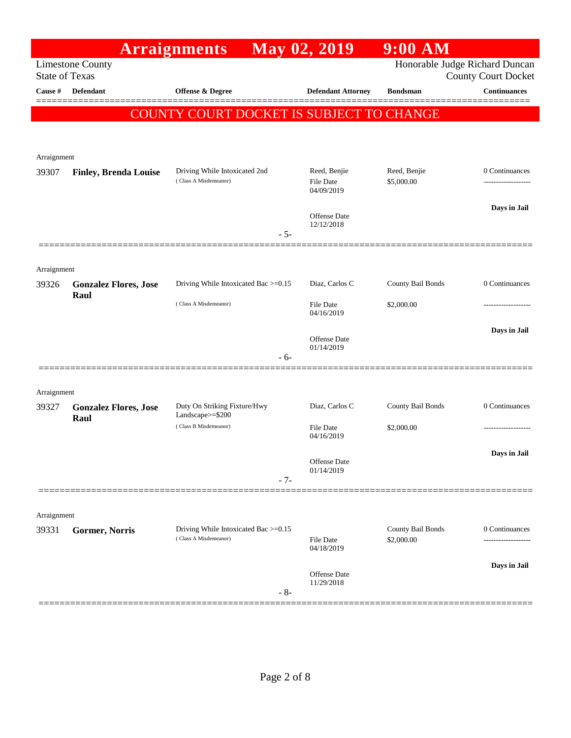|                       |                                      | <b>Arraignments</b>                                    | May 02, 2019                            | $9:00$ AM                      |                                     |
|-----------------------|--------------------------------------|--------------------------------------------------------|-----------------------------------------|--------------------------------|-------------------------------------|
| <b>State of Texas</b> | <b>Limestone County</b>              |                                                        |                                         | Honorable Judge Richard Duncan | <b>County Court Docket</b>          |
| Cause #               | Defendant                            | <b>Offense &amp; Degree</b>                            | <b>Defendant Attorney</b>               | <b>Bondsman</b>                | <b>Continuances</b>                 |
|                       |                                      | COUNTY COURT DOCKET IS SUBJECT TO CHANGE               |                                         |                                |                                     |
|                       |                                      |                                                        |                                         |                                |                                     |
|                       |                                      |                                                        |                                         |                                |                                     |
| Arraignment           |                                      |                                                        |                                         |                                |                                     |
| 39307                 | <b>Finley, Brenda Louise</b>         | Driving While Intoxicated 2nd<br>(Class A Misdemeanor) | Reed, Benjie<br>File Date<br>04/09/2019 | Reed, Benjie<br>\$5,000.00     | 0 Continuances<br>----------------- |
|                       |                                      |                                                        |                                         |                                | Days in Jail                        |
|                       |                                      | $-5-$                                                  | Offense Date<br>12/12/2018              |                                |                                     |
|                       |                                      |                                                        |                                         |                                |                                     |
| Arraignment           |                                      |                                                        |                                         |                                |                                     |
| 39326                 | <b>Gonzalez Flores, Jose</b>         | Driving While Intoxicated Bac >=0.15                   | Diaz, Carlos C                          | County Bail Bonds              | 0 Continuances                      |
|                       | Raul                                 | (Class A Misdemeanor)                                  | File Date<br>04/16/2019                 | \$2,000.00                     |                                     |
|                       |                                      |                                                        | <b>Offense Date</b>                     |                                | Days in Jail                        |
|                       |                                      | - 6-                                                   | 01/14/2019                              |                                |                                     |
|                       |                                      |                                                        |                                         |                                |                                     |
| Arraignment           |                                      |                                                        |                                         |                                |                                     |
| 39327                 | <b>Gonzalez Flores, Jose</b><br>Raul | Duty On Striking Fixture/Hwy<br>Landscape>=\$200       | Diaz, Carlos C                          | County Bail Bonds              | 0 Continuances                      |
|                       |                                      | (Class B Misdemeanor)                                  | <b>File Date</b><br>04/16/2019          | \$2,000.00                     | -----------------                   |
|                       |                                      |                                                        |                                         |                                | Days in Jail                        |
|                       |                                      |                                                        | Offense Date<br>01/14/2019              |                                |                                     |
|                       |                                      | $-7-$                                                  |                                         |                                |                                     |
|                       |                                      |                                                        |                                         |                                |                                     |
| Arraignment<br>39331  | Gormer, Norris                       | Driving While Intoxicated Bac >=0.15                   |                                         | County Bail Bonds              | 0 Continuances                      |
|                       |                                      | (Class A Misdemeanor)                                  | <b>File Date</b><br>04/18/2019          | \$2,000.00                     |                                     |
|                       |                                      |                                                        | Offense Date                            |                                | Days in Jail                        |
|                       |                                      | $-8-$                                                  | 11/29/2018                              |                                |                                     |
|                       |                                      |                                                        |                                         |                                |                                     |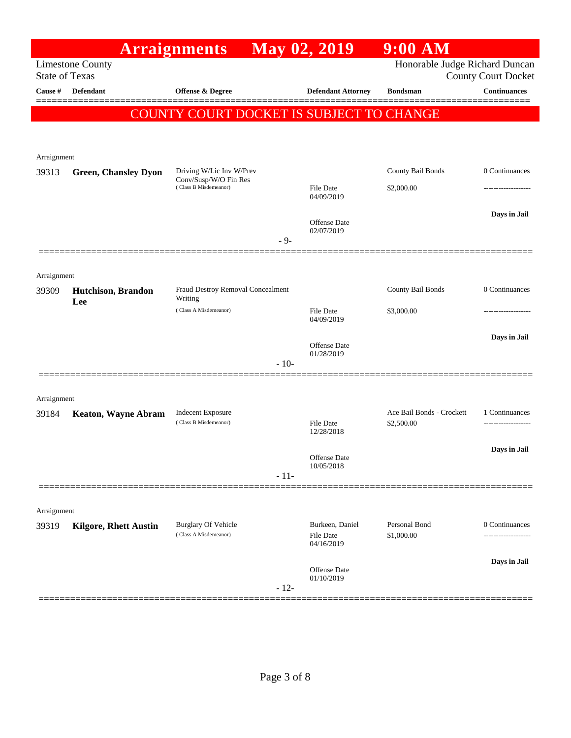|                       |                              | <b>Arraignments</b>                                 |        | May 02, 2019                 | 9:00 AM                                 |                                    |
|-----------------------|------------------------------|-----------------------------------------------------|--------|------------------------------|-----------------------------------------|------------------------------------|
| <b>State of Texas</b> | <b>Limestone County</b>      |                                                     |        |                              | Honorable Judge Richard Duncan          | <b>County Court Docket</b>         |
| Cause #               | <b>Defendant</b>             | <b>Offense &amp; Degree</b>                         |        | <b>Defendant Attorney</b>    | <b>Bondsman</b>                         | <b>Continuances</b>                |
|                       |                              | COUNTY COURT DOCKET IS SUBJECT TO CHANGE            |        |                              |                                         |                                    |
|                       |                              |                                                     |        |                              |                                         |                                    |
| Arraignment           |                              |                                                     |        |                              |                                         |                                    |
| 39313                 | <b>Green, Chansley Dyon</b>  | Driving W/Lic Inv W/Prev<br>Conv/Susp/W/O Fin Res   |        |                              | County Bail Bonds                       | 0 Continuances                     |
|                       |                              | (Class B Misdemeanor)                               |        | File Date<br>04/09/2019      | \$2,000.00                              | ---------------                    |
|                       |                              |                                                     |        |                              |                                         | Days in Jail                       |
|                       |                              |                                                     |        | Offense Date<br>02/07/2019   |                                         |                                    |
|                       |                              |                                                     | $-9-$  |                              |                                         |                                    |
| Arraignment           |                              |                                                     |        |                              |                                         |                                    |
| 39309                 | Hutchison, Brandon           | Fraud Destroy Removal Concealment                   |        |                              | County Bail Bonds                       | 0 Continuances                     |
|                       | Lee                          | Writing<br>(Class A Misdemeanor)                    |        | File Date                    | \$3,000.00                              |                                    |
|                       |                              |                                                     |        | 04/09/2019                   |                                         |                                    |
|                       |                              |                                                     |        | <b>Offense Date</b>          |                                         | Days in Jail                       |
|                       |                              |                                                     | $-10-$ | 01/28/2019                   |                                         |                                    |
|                       |                              |                                                     |        |                              |                                         |                                    |
| Arraignment           |                              |                                                     |        |                              |                                         |                                    |
| 39184                 | <b>Keaton, Wayne Abram</b>   | <b>Indecent Exposure</b><br>(Class B Misdemeanor)   |        | <b>File Date</b>             | Ace Bail Bonds - Crockett<br>\$2,500.00 | 1 Continuances                     |
|                       |                              |                                                     |        | 12/28/2018                   |                                         |                                    |
|                       |                              |                                                     |        | Offense Date                 |                                         | Days in Jail                       |
|                       |                              |                                                     | $-11-$ | 10/05/2018                   |                                         |                                    |
|                       |                              |                                                     |        |                              |                                         |                                    |
| Arraignment           |                              |                                                     |        |                              |                                         |                                    |
| 39319                 | <b>Kilgore, Rhett Austin</b> | <b>Burglary Of Vehicle</b><br>(Class A Misdemeanor) |        | Burkeen, Daniel<br>File Date | Personal Bond<br>\$1,000.00             | 0 Continuances<br>---------------- |
|                       |                              |                                                     |        | 04/16/2019                   |                                         |                                    |
|                       |                              |                                                     |        | Offense Date                 |                                         | Days in Jail                       |
|                       |                              |                                                     | $-12-$ | 01/10/2019                   |                                         |                                    |
|                       |                              |                                                     |        |                              |                                         |                                    |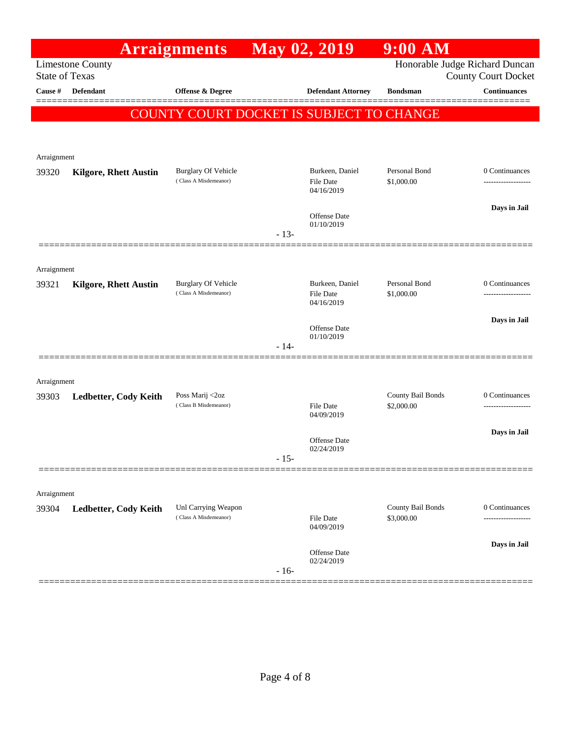|                       |                              | <b>Arraignments</b>                                 |        | May 02, 2019                        | $9:00$ AM                       |                                                              |
|-----------------------|------------------------------|-----------------------------------------------------|--------|-------------------------------------|---------------------------------|--------------------------------------------------------------|
| <b>State of Texas</b> | <b>Limestone County</b>      |                                                     |        |                                     |                                 | Honorable Judge Richard Duncan<br><b>County Court Docket</b> |
| Cause $\#$            | <b>Defendant</b>             | <b>Offense &amp; Degree</b>                         |        | <b>Defendant Attorney</b>           | <b>Bondsman</b>                 | Continuances                                                 |
|                       |                              | COUNTY COURT DOCKET IS SUBJECT TO CHANGE            |        |                                     |                                 |                                                              |
|                       |                              |                                                     |        |                                     |                                 |                                                              |
| Arraignment           |                              |                                                     |        |                                     |                                 |                                                              |
| 39320                 | <b>Kilgore, Rhett Austin</b> | <b>Burglary Of Vehicle</b><br>(Class A Misdemeanor) |        | Burkeen, Daniel<br><b>File Date</b> | Personal Bond<br>\$1,000.00     | 0 Continuances                                               |
|                       |                              |                                                     |        | 04/16/2019                          |                                 |                                                              |
|                       |                              |                                                     | $-13-$ | Offense Date<br>01/10/2019          |                                 | Days in Jail                                                 |
|                       |                              |                                                     |        |                                     |                                 |                                                              |
| Arraignment           |                              |                                                     |        |                                     |                                 |                                                              |
| 39321                 | <b>Kilgore, Rhett Austin</b> | <b>Burglary Of Vehicle</b><br>(Class A Misdemeanor) |        | Burkeen, Daniel                     | Personal Bond                   | 0 Continuances                                               |
|                       |                              |                                                     |        | <b>File Date</b><br>04/16/2019      | \$1,000.00                      |                                                              |
|                       |                              |                                                     |        | <b>Offense Date</b>                 |                                 | Days in Jail                                                 |
|                       |                              |                                                     | $-14-$ | 01/10/2019                          |                                 |                                                              |
| Arraignment           |                              |                                                     |        |                                     |                                 |                                                              |
| 39303                 | Ledbetter, Cody Keith        | Poss Marij <2oz                                     |        |                                     | County Bail Bonds               | 0 Continuances                                               |
|                       |                              | (Class B Misdemeanor)                               |        | File Date<br>04/09/2019             | \$2,000.00                      |                                                              |
|                       |                              |                                                     |        | Offense Date                        |                                 | Days in Jail                                                 |
|                       |                              |                                                     | $-15-$ | 02/24/2019                          |                                 |                                                              |
|                       |                              |                                                     |        |                                     |                                 |                                                              |
| Arraignment           |                              |                                                     |        |                                     |                                 |                                                              |
| 39304                 | Ledbetter, Cody Keith        | Unl Carrying Weapon<br>(Class A Misdemeanor)        |        | <b>File Date</b><br>04/09/2019      | County Bail Bonds<br>\$3,000.00 | 0 Continuances<br>.                                          |
|                       |                              |                                                     |        |                                     |                                 | Days in Jail                                                 |
|                       |                              |                                                     | $-16-$ | Offense Date<br>02/24/2019          |                                 |                                                              |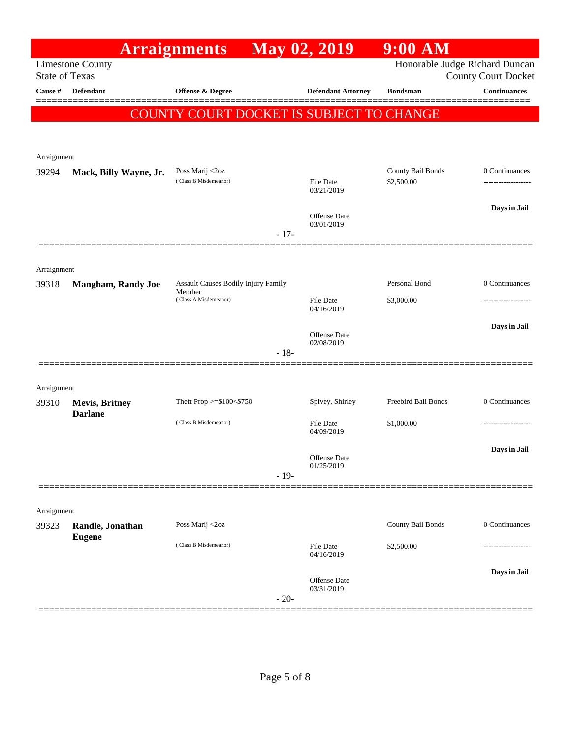|                       |                                         | <b>Arraignments</b>                        |        | <b>May 02, 2019</b>            | $9:00$ AM                       |                                                              |
|-----------------------|-----------------------------------------|--------------------------------------------|--------|--------------------------------|---------------------------------|--------------------------------------------------------------|
| <b>State of Texas</b> | <b>Limestone County</b>                 |                                            |        |                                |                                 | Honorable Judge Richard Duncan<br><b>County Court Docket</b> |
| Cause #               | Defendant                               | <b>Offense &amp; Degree</b>                |        | <b>Defendant Attorney</b>      | <b>Bondsman</b>                 | Continuances                                                 |
|                       |                                         | COUNTY COURT DOCKET IS SUBJECT TO CHANGE   |        |                                |                                 |                                                              |
| Arraignment           |                                         |                                            |        |                                |                                 |                                                              |
| 39294                 | Mack, Billy Wayne, Jr.                  | Poss Marij <2oz<br>(Class B Misdemeanor)   |        | <b>File Date</b><br>03/21/2019 | County Bail Bonds<br>\$2,500.00 | 0 Continuances<br>                                           |
|                       |                                         |                                            | $-17-$ | Offense Date<br>03/01/2019     |                                 | Days in Jail                                                 |
| Arraignment           |                                         | <b>Assault Causes Bodily Injury Family</b> |        |                                | Personal Bond                   | 0 Continuances                                               |
| 39318                 | <b>Mangham, Randy Joe</b>               | Member<br>(Class A Misdemeanor)            |        | File Date<br>04/16/2019        | \$3,000.00                      |                                                              |
|                       |                                         |                                            | $-18-$ | Offense Date<br>02/08/2019     |                                 | Days in Jail                                                 |
|                       |                                         |                                            |        |                                |                                 |                                                              |
| Arraignment           |                                         |                                            |        |                                |                                 |                                                              |
| 39310                 | <b>Mevis, Britney</b><br><b>Darlane</b> | Theft Prop >=\$100<\$750                   |        | Spivey, Shirley                | Freebird Bail Bonds             | 0 Continuances                                               |
|                       |                                         | (Class B Misdemeanor)                      |        | File Date<br>04/09/2019        | \$1,000.00                      |                                                              |
|                       |                                         |                                            | $-19-$ | Offense Date<br>01/25/2019     |                                 | Days in Jail                                                 |
|                       |                                         |                                            |        |                                |                                 |                                                              |
| Arraignment           |                                         |                                            |        |                                |                                 |                                                              |
| 39323                 | Randle, Jonathan<br><b>Eugene</b>       | Poss Marij <2oz                            |        |                                | County Bail Bonds               | 0 Continuances                                               |
|                       |                                         | (Class B Misdemeanor)                      |        | <b>File Date</b><br>04/16/2019 | \$2,500.00                      |                                                              |
|                       |                                         |                                            | $-20-$ | Offense Date<br>03/31/2019     |                                 | Days in Jail                                                 |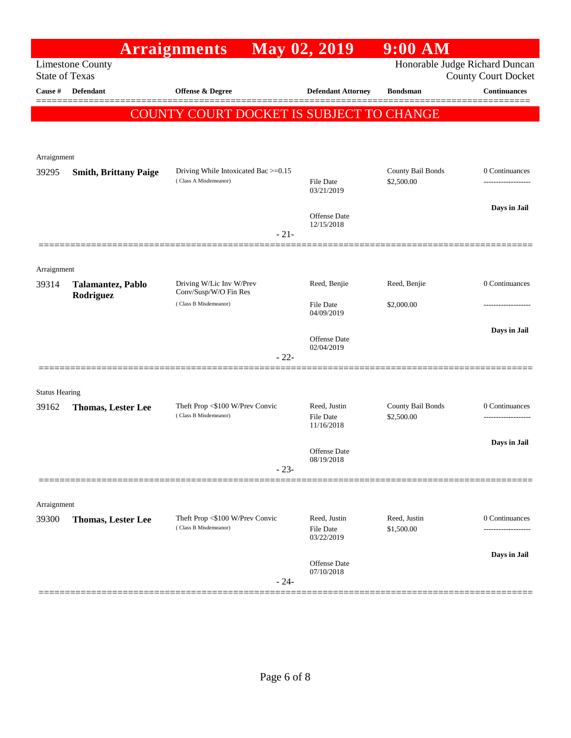|                       |                              | <b>Arraignments</b>                                           | May 02, 2019                     | $9:00$ AM                       |                            |
|-----------------------|------------------------------|---------------------------------------------------------------|----------------------------------|---------------------------------|----------------------------|
| <b>State of Texas</b> | <b>Limestone County</b>      |                                                               |                                  | Honorable Judge Richard Duncan  | <b>County Court Docket</b> |
| Cause #               | <b>Defendant</b>             | <b>Offense &amp; Degree</b>                                   | <b>Defendant Attorney</b>        | <b>Bondsman</b>                 | <b>Continuances</b>        |
|                       |                              |                                                               |                                  |                                 |                            |
|                       |                              | COUNTY COURT DOCKET IS SUBJECT TO CHANGE                      |                                  |                                 |                            |
|                       |                              |                                                               |                                  |                                 |                            |
| Arraignment           |                              |                                                               |                                  |                                 |                            |
| 39295                 | <b>Smith, Brittany Paige</b> | Driving While Intoxicated Bac >=0.15<br>(Class A Misdemeanor) | File Date                        | County Bail Bonds<br>\$2,500.00 | 0 Continuances             |
|                       |                              |                                                               | 03/21/2019                       |                                 |                            |
|                       |                              |                                                               | Offense Date                     |                                 | Days in Jail               |
|                       |                              | $-21-$                                                        | 12/15/2018                       |                                 |                            |
|                       |                              |                                                               |                                  |                                 |                            |
| Arraignment           |                              |                                                               |                                  |                                 |                            |
| 39314                 | <b>Talamantez</b> , Pablo    | Driving W/Lic Inv W/Prev                                      | Reed, Benjie                     | Reed, Benjie                    | 0 Continuances             |
|                       | Rodriguez                    | Conv/Susp/W/O Fin Res<br>(Class B Misdemeanor)                | File Date                        | \$2,000.00                      | -----------------          |
|                       |                              |                                                               | 04/09/2019                       |                                 |                            |
|                       |                              |                                                               | Offense Date                     |                                 | Days in Jail               |
|                       |                              | $-22-$                                                        | 02/04/2019                       |                                 |                            |
|                       |                              |                                                               |                                  |                                 |                            |
| <b>Status Hearing</b> |                              |                                                               |                                  |                                 |                            |
| 39162                 | Thomas, Lester Lee           | Theft Prop <\$100 W/Prev Convic                               | Reed, Justin                     | County Bail Bonds               | 0 Continuances             |
|                       |                              | (Class B Misdemeanor)                                         | <b>File Date</b><br>11/16/2018   | \$2,500.00                      |                            |
|                       |                              |                                                               |                                  |                                 | Days in Jail               |
|                       |                              |                                                               | Offense Date<br>08/19/2018       |                                 |                            |
|                       |                              | $-23-$                                                        |                                  |                                 |                            |
|                       |                              |                                                               |                                  |                                 |                            |
| Arraignment           |                              |                                                               |                                  |                                 |                            |
| 39300                 | <b>Thomas, Lester Lee</b>    | Theft Prop <\$100 W/Prev Convic<br>(Class B Misdemeanor)      | Reed, Justin<br><b>File Date</b> | Reed, Justin<br>\$1,500.00      | 0 Continuances             |
|                       |                              |                                                               | 03/22/2019                       |                                 |                            |
|                       |                              |                                                               | Offense Date                     |                                 | Days in Jail               |
|                       |                              | $-24-$                                                        | 07/10/2018                       |                                 |                            |
|                       |                              |                                                               |                                  |                                 |                            |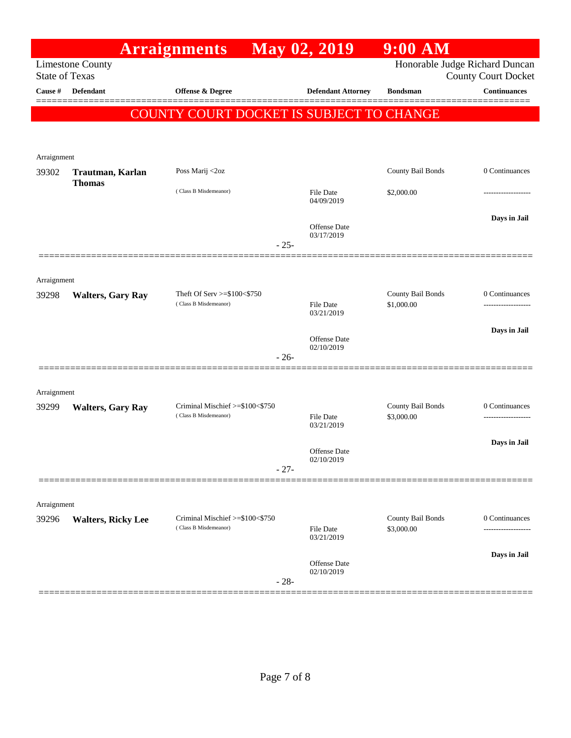|                       |                           | <b>Arraignments</b>                                         |        | May 02, 2019                      | 9:00 AM                         |                                                              |
|-----------------------|---------------------------|-------------------------------------------------------------|--------|-----------------------------------|---------------------------------|--------------------------------------------------------------|
| <b>State of Texas</b> | <b>Limestone County</b>   |                                                             |        |                                   |                                 | Honorable Judge Richard Duncan<br><b>County Court Docket</b> |
| Cause #               | Defendant                 | <b>Offense &amp; Degree</b>                                 |        | <b>Defendant Attorney</b>         | <b>Bondsman</b>                 | <b>Continuances</b>                                          |
|                       |                           | COUNTY COURT DOCKET IS SUBJECT TO CHANGE                    |        |                                   |                                 |                                                              |
|                       |                           |                                                             |        |                                   |                                 |                                                              |
| Arraignment           |                           |                                                             |        |                                   |                                 |                                                              |
| 39302                 | Trautman, Karlan          | Poss Marij <2oz                                             |        |                                   | County Bail Bonds               | 0 Continuances                                               |
|                       | <b>Thomas</b>             | (Class B Misdemeanor)                                       |        | <b>File Date</b><br>04/09/2019    | \$2,000.00                      |                                                              |
|                       |                           |                                                             | $-25-$ | Offense Date<br>03/17/2019        |                                 | Days in Jail                                                 |
|                       |                           |                                                             |        |                                   |                                 |                                                              |
| Arraignment<br>39298  | <b>Walters, Gary Ray</b>  | Theft Of Serv $>=$ \$100 $<$ \$750<br>(Class B Misdemeanor) |        | <b>File Date</b><br>03/21/2019    | County Bail Bonds<br>\$1,000.00 | 0 Continuances                                               |
|                       |                           |                                                             | $-26-$ | Offense Date<br>02/10/2019        |                                 | Days in Jail                                                 |
|                       |                           |                                                             |        |                                   |                                 |                                                              |
| Arraignment           |                           |                                                             |        |                                   |                                 |                                                              |
| 39299                 | <b>Walters, Gary Ray</b>  | Criminal Mischief >=\$100<\$750<br>(Class B Misdemeanor)    |        | <b>File Date</b><br>03/21/2019    | County Bail Bonds<br>\$3,000.00 | 0 Continuances                                               |
|                       |                           |                                                             |        | <b>Offense</b> Date<br>02/10/2019 |                                 | Days in Jail                                                 |
|                       |                           |                                                             | $-27-$ |                                   |                                 |                                                              |
| Arraignment           |                           |                                                             |        |                                   |                                 |                                                              |
| 39296                 | <b>Walters, Ricky Lee</b> | Criminal Mischief >=\$100<\$750<br>(Class B Misdemeanor)    |        | <b>File Date</b>                  | County Bail Bonds<br>\$3,000.00 | 0 Continuances<br>.                                          |
|                       |                           |                                                             |        | 03/21/2019                        |                                 | Days in Jail                                                 |
|                       |                           |                                                             | $-28-$ | <b>Offense</b> Date<br>02/10/2019 |                                 |                                                              |